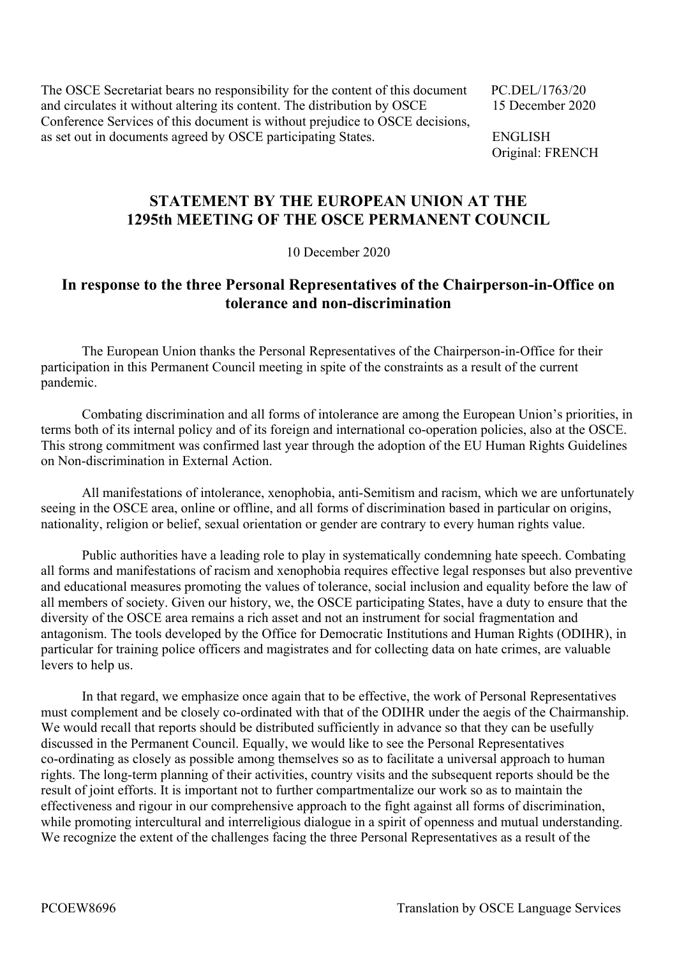The OSCE Secretariat bears no responsibility for the content of this document PC.DEL/1763/20 and circulates it without altering its content. The distribution by OSCE 15 December 2020 Conference Services of this document is without prejudice to OSCE decisions, as set out in documents agreed by OSCE participating States. ENGLISH

Original: FRENCH

## **STATEMENT BY THE EUROPEAN UNION AT THE 1295th MEETING OF THE OSCE PERMANENT COUNCIL**

10 December 2020

## **In response to the three Personal Representatives of the Chairperson-in-Office on tolerance and non-discrimination**

 The European Union thanks the Personal Representatives of the Chairperson-in-Office for their participation in this Permanent Council meeting in spite of the constraints as a result of the current pandemic.

 Combating discrimination and all forms of intolerance are among the European Union's priorities, in terms both of its internal policy and of its foreign and international co-operation policies, also at the OSCE. This strong commitment was confirmed last year through the adoption of the EU Human Rights Guidelines on Non-discrimination in External Action.

 All manifestations of intolerance, xenophobia, anti-Semitism and racism, which we are unfortunately seeing in the OSCE area, online or offline, and all forms of discrimination based in particular on origins, nationality, religion or belief, sexual orientation or gender are contrary to every human rights value.

 Public authorities have a leading role to play in systematically condemning hate speech. Combating all forms and manifestations of racism and xenophobia requires effective legal responses but also preventive and educational measures promoting the values of tolerance, social inclusion and equality before the law of all members of society. Given our history, we, the OSCE participating States, have a duty to ensure that the diversity of the OSCE area remains a rich asset and not an instrument for social fragmentation and antagonism. The tools developed by the Office for Democratic Institutions and Human Rights (ODIHR), in particular for training police officers and magistrates and for collecting data on hate crimes, are valuable levers to help us.

 In that regard, we emphasize once again that to be effective, the work of Personal Representatives must complement and be closely co-ordinated with that of the ODIHR under the aegis of the Chairmanship. We would recall that reports should be distributed sufficiently in advance so that they can be usefully discussed in the Permanent Council. Equally, we would like to see the Personal Representatives co-ordinating as closely as possible among themselves so as to facilitate a universal approach to human rights. The long-term planning of their activities, country visits and the subsequent reports should be the result of joint efforts. It is important not to further compartmentalize our work so as to maintain the effectiveness and rigour in our comprehensive approach to the fight against all forms of discrimination, while promoting intercultural and interreligious dialogue in a spirit of openness and mutual understanding. We recognize the extent of the challenges facing the three Personal Representatives as a result of the